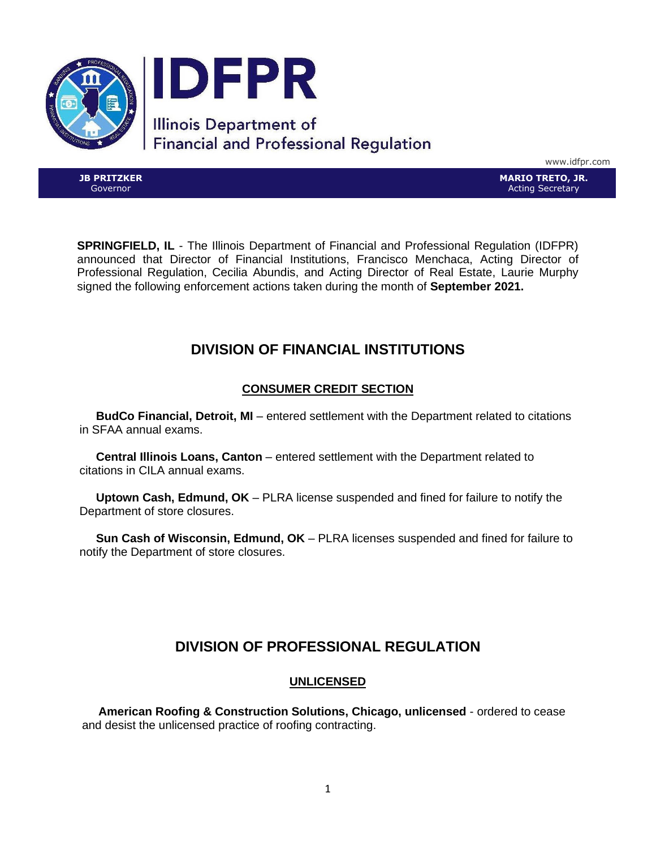

www.idfpr.com

**JB PRITZKER** Governor

**MARIO TRETO, JR.** Acting Secretary

**SPRINGFIELD, IL** - The Illinois Department of Financial and Professional Regulation (IDFPR) announced that Director of Financial Institutions, Francisco Menchaca, Acting Director of Professional Regulation, Cecilia Abundis, and Acting Director of Real Estate, Laurie Murphy signed the following enforcement actions taken during the month of **September 2021.**

# **DIVISION OF FINANCIAL INSTITUTIONS**

## **CONSUMER CREDIT SECTION**

 **BudCo Financial, Detroit, MI** – entered settlement with the Department related to citations in SFAA annual exams.

 **Central Illinois Loans, Canton** – entered settlement with the Department related to citations in CILA annual exams.

 **Uptown Cash, Edmund, OK** – PLRA license suspended and fined for failure to notify the Department of store closures.

 **Sun Cash of Wisconsin, Edmund, OK** – PLRA licenses suspended and fined for failure to notify the Department of store closures.

# **DIVISION OF PROFESSIONAL REGULATION**

## **UNLICENSED**

 **American Roofing & Construction Solutions, Chicago, unlicensed** - ordered to cease and desist the unlicensed practice of roofing contracting.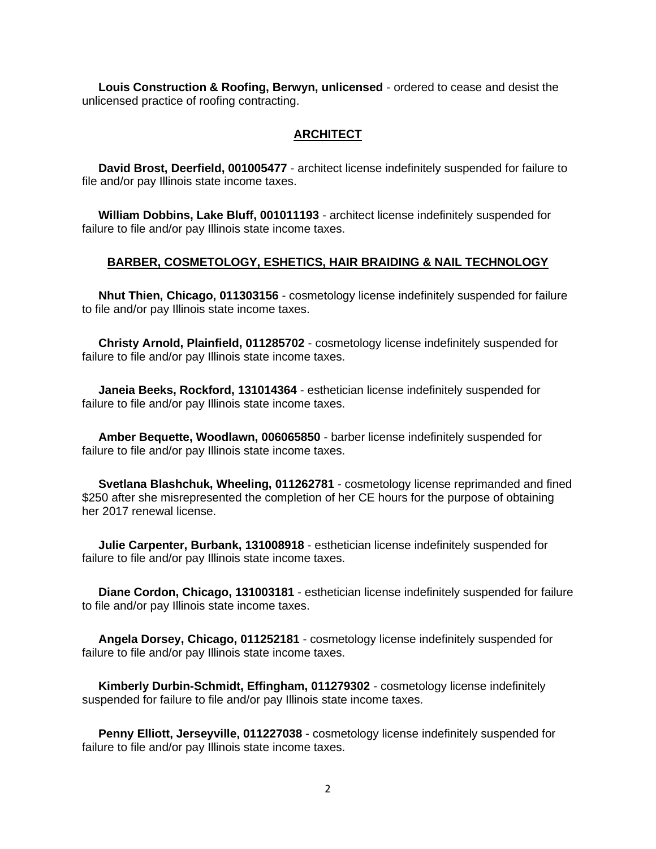**Louis Construction & Roofing, Berwyn, unlicensed** - ordered to cease and desist the unlicensed practice of roofing contracting.

## **ARCHITECT**

 **David Brost, Deerfield, 001005477** - architect license indefinitely suspended for failure to file and/or pay Illinois state income taxes.

 **William Dobbins, Lake Bluff, 001011193** - architect license indefinitely suspended for failure to file and/or pay Illinois state income taxes.

## **BARBER, COSMETOLOGY, ESHETICS, HAIR BRAIDING & NAIL TECHNOLOGY**

 **Nhut Thien, Chicago, 011303156** - cosmetology license indefinitely suspended for failure to file and/or pay Illinois state income taxes.

 **Christy Arnold, Plainfield, 011285702** - cosmetology license indefinitely suspended for failure to file and/or pay Illinois state income taxes.

 **Janeia Beeks, Rockford, 131014364** - esthetician license indefinitely suspended for failure to file and/or pay Illinois state income taxes.

 **Amber Bequette, Woodlawn, 006065850** - barber license indefinitely suspended for failure to file and/or pay Illinois state income taxes.

 **Svetlana Blashchuk, Wheeling, 011262781** - cosmetology license reprimanded and fined \$250 after she misrepresented the completion of her CE hours for the purpose of obtaining her 2017 renewal license.

 **Julie Carpenter, Burbank, 131008918** - esthetician license indefinitely suspended for failure to file and/or pay Illinois state income taxes.

 **Diane Cordon, Chicago, 131003181** - esthetician license indefinitely suspended for failure to file and/or pay Illinois state income taxes.

 **Angela Dorsey, Chicago, 011252181** - cosmetology license indefinitely suspended for failure to file and/or pay Illinois state income taxes.

 **Kimberly Durbin-Schmidt, Effingham, 011279302** - cosmetology license indefinitely suspended for failure to file and/or pay Illinois state income taxes.

 **Penny Elliott, Jerseyville, 011227038** - cosmetology license indefinitely suspended for failure to file and/or pay Illinois state income taxes.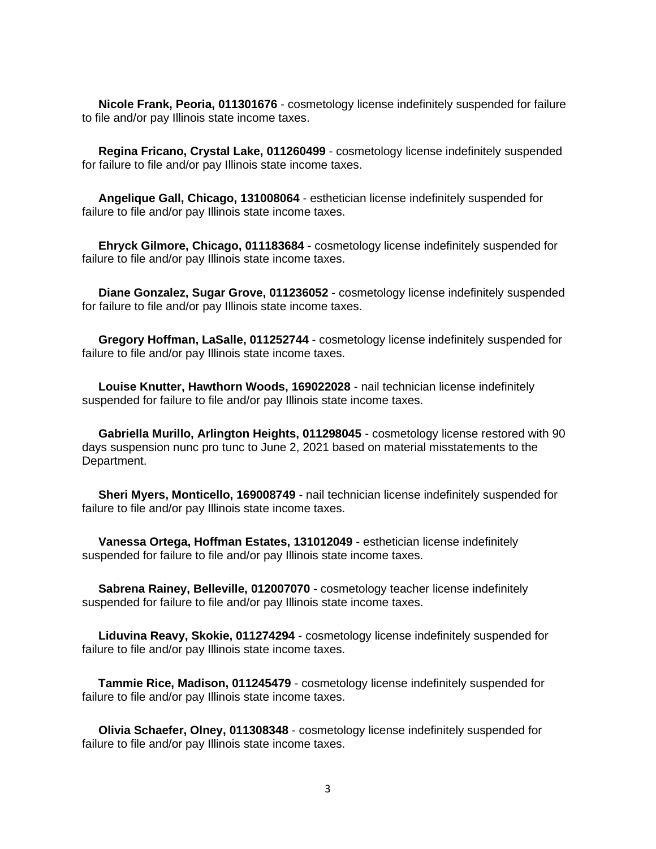**Nicole Frank, Peoria, 011301676** - cosmetology license indefinitely suspended for failure to file and/or pay Illinois state income taxes.

 **Regina Fricano, Crystal Lake, 011260499** - cosmetology license indefinitely suspended for failure to file and/or pay Illinois state income taxes.

 **Angelique Gall, Chicago, 131008064** - esthetician license indefinitely suspended for failure to file and/or pay Illinois state income taxes.

 **Ehryck Gilmore, Chicago, 011183684** - cosmetology license indefinitely suspended for failure to file and/or pay Illinois state income taxes.

 **Diane Gonzalez, Sugar Grove, 011236052** - cosmetology license indefinitely suspended for failure to file and/or pay Illinois state income taxes.

 **Gregory Hoffman, LaSalle, 011252744** - cosmetology license indefinitely suspended for failure to file and/or pay Illinois state income taxes.

 **Louise Knutter, Hawthorn Woods, 169022028** - nail technician license indefinitely suspended for failure to file and/or pay Illinois state income taxes.

 **Gabriella Murillo, Arlington Heights, 011298045** - cosmetology license restored with 90 days suspension nunc pro tunc to June 2, 2021 based on material misstatements to the Department.

 **Sheri Myers, Monticello, 169008749** - nail technician license indefinitely suspended for failure to file and/or pay Illinois state income taxes.

 **Vanessa Ortega, Hoffman Estates, 131012049** - esthetician license indefinitely suspended for failure to file and/or pay Illinois state income taxes.

 **Sabrena Rainey, Belleville, 012007070** - cosmetology teacher license indefinitely suspended for failure to file and/or pay Illinois state income taxes.

 **Liduvina Reavy, Skokie, 011274294** - cosmetology license indefinitely suspended for failure to file and/or pay Illinois state income taxes.

 **Tammie Rice, Madison, 011245479** - cosmetology license indefinitely suspended for failure to file and/or pay Illinois state income taxes.

 **Olivia Schaefer, Olney, 011308348** - cosmetology license indefinitely suspended for failure to file and/or pay Illinois state income taxes.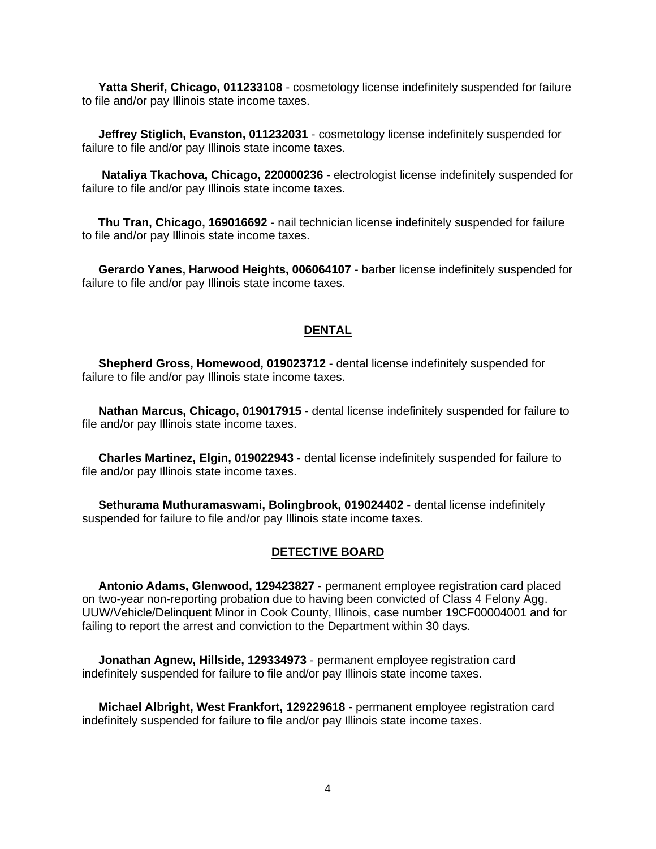**Yatta Sherif, Chicago, 011233108** - cosmetology license indefinitely suspended for failure to file and/or pay Illinois state income taxes.

 **Jeffrey Stiglich, Evanston, 011232031** - cosmetology license indefinitely suspended for failure to file and/or pay Illinois state income taxes.

 **Nataliya Tkachova, Chicago, 220000236** - electrologist license indefinitely suspended for failure to file and/or pay Illinois state income taxes.

 **Thu Tran, Chicago, 169016692** - nail technician license indefinitely suspended for failure to file and/or pay Illinois state income taxes.

 **Gerardo Yanes, Harwood Heights, 006064107** - barber license indefinitely suspended for failure to file and/or pay Illinois state income taxes.

## **DENTAL**

 **Shepherd Gross, Homewood, 019023712** - dental license indefinitely suspended for failure to file and/or pay Illinois state income taxes.

 **Nathan Marcus, Chicago, 019017915** - dental license indefinitely suspended for failure to file and/or pay Illinois state income taxes.

 **Charles Martinez, Elgin, 019022943** - dental license indefinitely suspended for failure to file and/or pay Illinois state income taxes.

 **Sethurama Muthuramaswami, Bolingbrook, 019024402** - dental license indefinitely suspended for failure to file and/or pay Illinois state income taxes.

#### **DETECTIVE BOARD**

 **Antonio Adams, Glenwood, 129423827** - permanent employee registration card placed on two-year non-reporting probation due to having been convicted of Class 4 Felony Agg. UUW/Vehicle/Delinquent Minor in Cook County, Illinois, case number 19CF00004001 and for failing to report the arrest and conviction to the Department within 30 days.

 **Jonathan Agnew, Hillside, 129334973** - permanent employee registration card indefinitely suspended for failure to file and/or pay Illinois state income taxes.

 **Michael Albright, West Frankfort, 129229618** - permanent employee registration card indefinitely suspended for failure to file and/or pay Illinois state income taxes.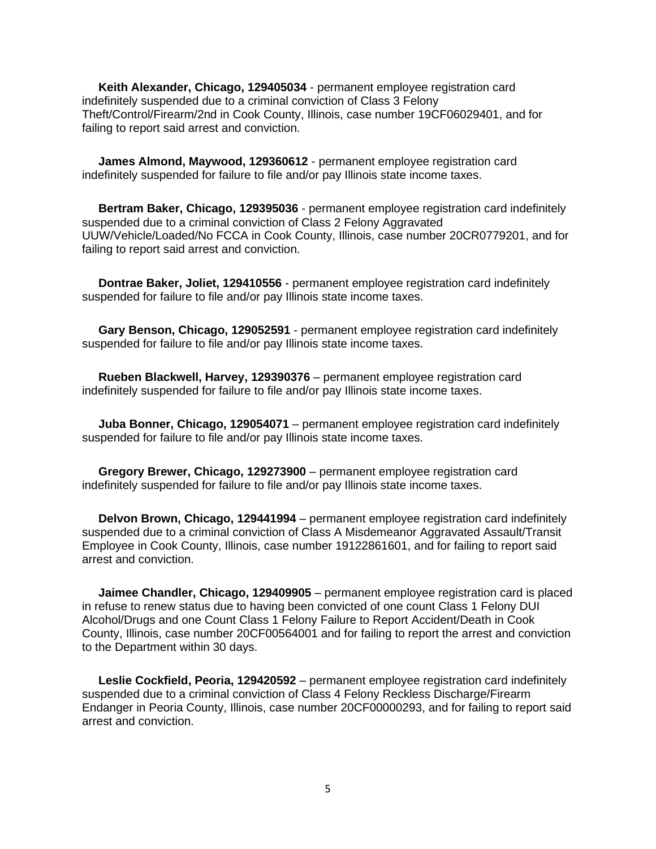**Keith Alexander, Chicago, 129405034** - permanent employee registration card indefinitely suspended due to a criminal conviction of Class 3 Felony Theft/Control/Firearm/2nd in Cook County, Illinois, case number 19CF06029401, and for failing to report said arrest and conviction.

 **James Almond, Maywood, 129360612** - permanent employee registration card indefinitely suspended for failure to file and/or pay Illinois state income taxes.

 **Bertram Baker, Chicago, 129395036** - permanent employee registration card indefinitely suspended due to a criminal conviction of Class 2 Felony Aggravated UUW/Vehicle/Loaded/No FCCA in Cook County, Illinois, case number 20CR0779201, and for failing to report said arrest and conviction.

 **Dontrae Baker, Joliet, 129410556** - permanent employee registration card indefinitely suspended for failure to file and/or pay Illinois state income taxes.

 **Gary Benson, Chicago, 129052591** - permanent employee registration card indefinitely suspended for failure to file and/or pay Illinois state income taxes.

 **Rueben Blackwell, Harvey, 129390376** – permanent employee registration card indefinitely suspended for failure to file and/or pay Illinois state income taxes.

 **Juba Bonner, Chicago, 129054071** – permanent employee registration card indefinitely suspended for failure to file and/or pay Illinois state income taxes.

 **Gregory Brewer, Chicago, 129273900** – permanent employee registration card indefinitely suspended for failure to file and/or pay Illinois state income taxes.

 **Delvon Brown, Chicago, 129441994** – permanent employee registration card indefinitely suspended due to a criminal conviction of Class A Misdemeanor Aggravated Assault/Transit Employee in Cook County, Illinois, case number 19122861601, and for failing to report said arrest and conviction.

 **Jaimee Chandler, Chicago, 129409905** – permanent employee registration card is placed in refuse to renew status due to having been convicted of one count Class 1 Felony DUI Alcohol/Drugs and one Count Class 1 Felony Failure to Report Accident/Death in Cook County, Illinois, case number 20CF00564001 and for failing to report the arrest and conviction to the Department within 30 days.

 **Leslie Cockfield, Peoria, 129420592** – permanent employee registration card indefinitely suspended due to a criminal conviction of Class 4 Felony Reckless Discharge/Firearm Endanger in Peoria County, Illinois, case number 20CF00000293, and for failing to report said arrest and conviction.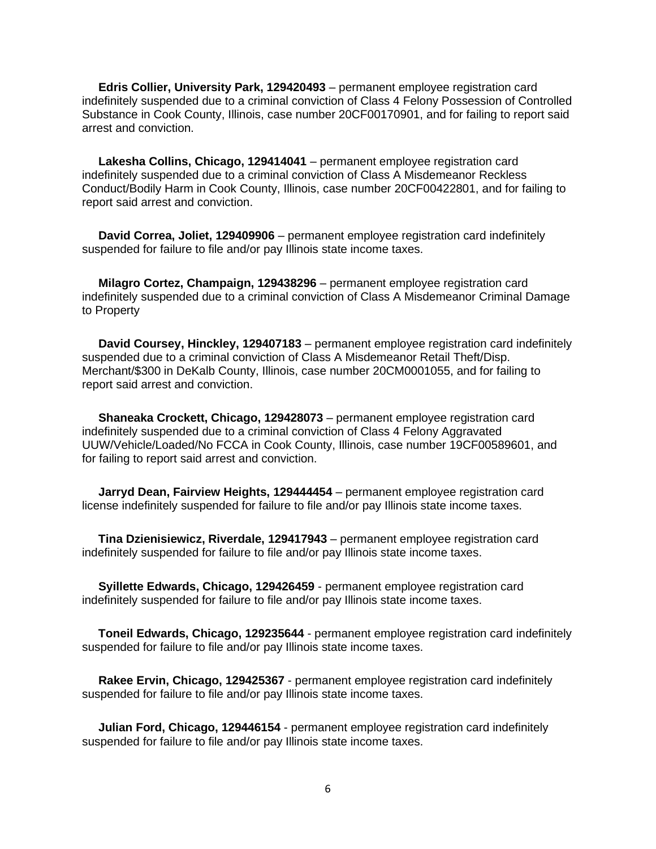**Edris Collier, University Park, 129420493** – permanent employee registration card indefinitely suspended due to a criminal conviction of Class 4 Felony Possession of Controlled Substance in Cook County, Illinois, case number 20CF00170901, and for failing to report said arrest and conviction.

 **Lakesha Collins, Chicago, 129414041** – permanent employee registration card indefinitely suspended due to a criminal conviction of Class A Misdemeanor Reckless Conduct/Bodily Harm in Cook County, Illinois, case number 20CF00422801, and for failing to report said arrest and conviction.

 **David Correa, Joliet, 129409906** – permanent employee registration card indefinitely suspended for failure to file and/or pay Illinois state income taxes.

 **Milagro Cortez, Champaign, 129438296** – permanent employee registration card indefinitely suspended due to a criminal conviction of Class A Misdemeanor Criminal Damage to Property

 **David Coursey, Hinckley, 129407183** – permanent employee registration card indefinitely suspended due to a criminal conviction of Class A Misdemeanor Retail Theft/Disp. Merchant/\$300 in DeKalb County, Illinois, case number 20CM0001055, and for failing to report said arrest and conviction.

 **Shaneaka Crockett, Chicago, 129428073** – permanent employee registration card indefinitely suspended due to a criminal conviction of Class 4 Felony Aggravated UUW/Vehicle/Loaded/No FCCA in Cook County, Illinois, case number 19CF00589601, and for failing to report said arrest and conviction.

 **Jarryd Dean, Fairview Heights, 129444454** – permanent employee registration card license indefinitely suspended for failure to file and/or pay Illinois state income taxes.

 **Tina Dzienisiewicz, Riverdale, 129417943** – permanent employee registration card indefinitely suspended for failure to file and/or pay Illinois state income taxes.

 **Syillette Edwards, Chicago, 129426459** - permanent employee registration card indefinitely suspended for failure to file and/or pay Illinois state income taxes.

 **Toneil Edwards, Chicago, 129235644** - permanent employee registration card indefinitely suspended for failure to file and/or pay Illinois state income taxes.

 **Rakee Ervin, Chicago, 129425367** - permanent employee registration card indefinitely suspended for failure to file and/or pay Illinois state income taxes.

 **Julian Ford, Chicago, 129446154** - permanent employee registration card indefinitely suspended for failure to file and/or pay Illinois state income taxes.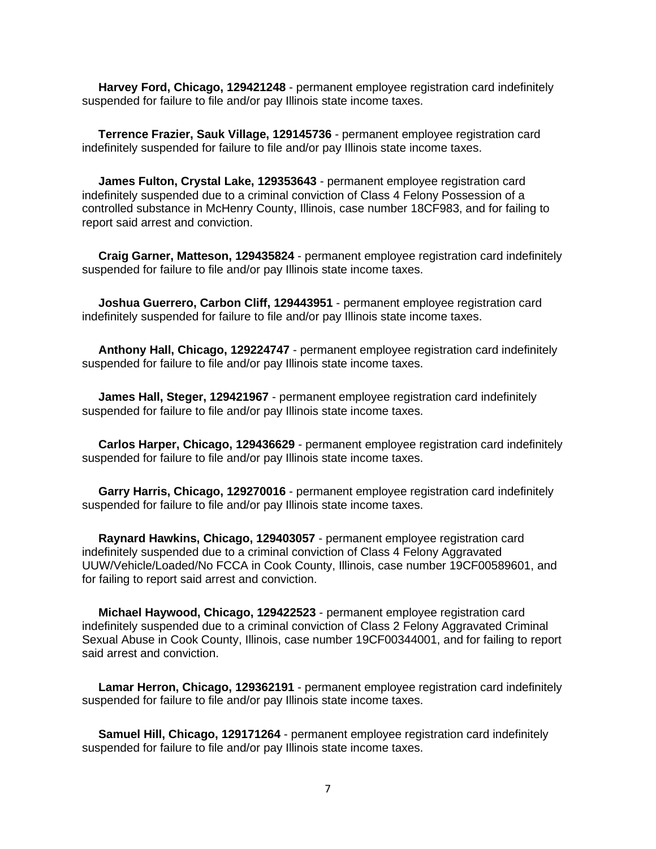**Harvey Ford, Chicago, 129421248** - permanent employee registration card indefinitely suspended for failure to file and/or pay Illinois state income taxes.

 **Terrence Frazier, Sauk Village, 129145736** - permanent employee registration card indefinitely suspended for failure to file and/or pay Illinois state income taxes.

 **James Fulton, Crystal Lake, 129353643** - permanent employee registration card indefinitely suspended due to a criminal conviction of Class 4 Felony Possession of a controlled substance in McHenry County, Illinois, case number 18CF983, and for failing to report said arrest and conviction.

 **Craig Garner, Matteson, 129435824** - permanent employee registration card indefinitely suspended for failure to file and/or pay Illinois state income taxes.

 **Joshua Guerrero, Carbon Cliff, 129443951** - permanent employee registration card indefinitely suspended for failure to file and/or pay Illinois state income taxes.

 **Anthony Hall, Chicago, 129224747** - permanent employee registration card indefinitely suspended for failure to file and/or pay Illinois state income taxes.

 **James Hall, Steger, 129421967** - permanent employee registration card indefinitely suspended for failure to file and/or pay Illinois state income taxes.

 **Carlos Harper, Chicago, 129436629** - permanent employee registration card indefinitely suspended for failure to file and/or pay Illinois state income taxes.

 **Garry Harris, Chicago, 129270016** - permanent employee registration card indefinitely suspended for failure to file and/or pay Illinois state income taxes.

 **Raynard Hawkins, Chicago, 129403057** - permanent employee registration card indefinitely suspended due to a criminal conviction of Class 4 Felony Aggravated UUW/Vehicle/Loaded/No FCCA in Cook County, Illinois, case number 19CF00589601, and for failing to report said arrest and conviction.

 **Michael Haywood, Chicago, 129422523** - permanent employee registration card indefinitely suspended due to a criminal conviction of Class 2 Felony Aggravated Criminal Sexual Abuse in Cook County, Illinois, case number 19CF00344001, and for failing to report said arrest and conviction.

 **Lamar Herron, Chicago, 129362191** - permanent employee registration card indefinitely suspended for failure to file and/or pay Illinois state income taxes.

 **Samuel Hill, Chicago, 129171264** - permanent employee registration card indefinitely suspended for failure to file and/or pay Illinois state income taxes.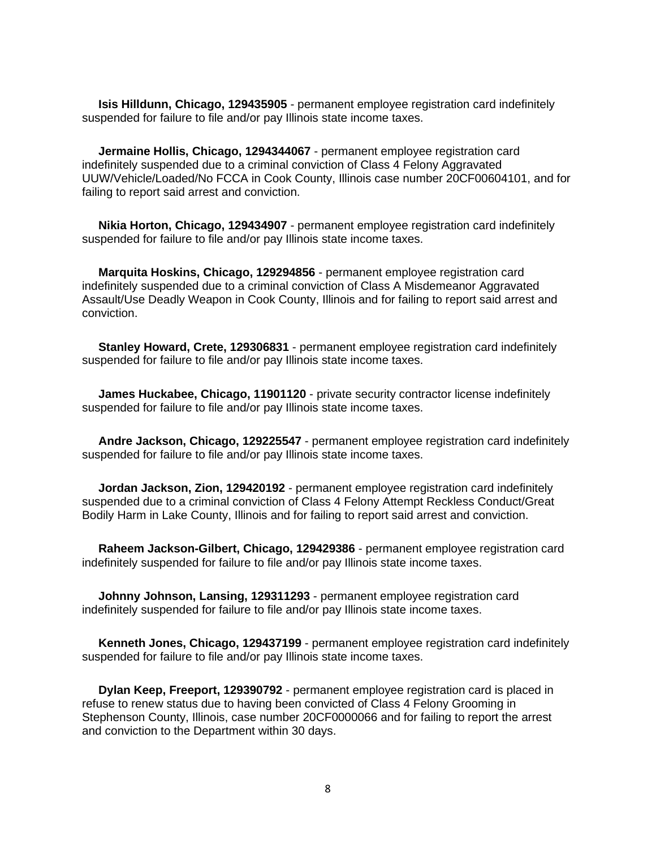**Isis Hilldunn, Chicago, 129435905** - permanent employee registration card indefinitely suspended for failure to file and/or pay Illinois state income taxes.

 **Jermaine Hollis, Chicago, 1294344067** - permanent employee registration card indefinitely suspended due to a criminal conviction of Class 4 Felony Aggravated UUW/Vehicle/Loaded/No FCCA in Cook County, Illinois case number 20CF00604101, and for failing to report said arrest and conviction.

 **Nikia Horton, Chicago, 129434907** - permanent employee registration card indefinitely suspended for failure to file and/or pay Illinois state income taxes.

 **Marquita Hoskins, Chicago, 129294856** - permanent employee registration card indefinitely suspended due to a criminal conviction of Class A Misdemeanor Aggravated Assault/Use Deadly Weapon in Cook County, Illinois and for failing to report said arrest and conviction.

 **Stanley Howard, Crete, 129306831** - permanent employee registration card indefinitely suspended for failure to file and/or pay Illinois state income taxes.

 **James Huckabee, Chicago, 11901120** - private security contractor license indefinitely suspended for failure to file and/or pay Illinois state income taxes.

 **Andre Jackson, Chicago, 129225547** - permanent employee registration card indefinitely suspended for failure to file and/or pay Illinois state income taxes.

 **Jordan Jackson, Zion, 129420192** - permanent employee registration card indefinitely suspended due to a criminal conviction of Class 4 Felony Attempt Reckless Conduct/Great Bodily Harm in Lake County, Illinois and for failing to report said arrest and conviction.

 **Raheem Jackson-Gilbert, Chicago, 129429386** - permanent employee registration card indefinitely suspended for failure to file and/or pay Illinois state income taxes.

 **Johnny Johnson, Lansing, 129311293** - permanent employee registration card indefinitely suspended for failure to file and/or pay Illinois state income taxes.

 **Kenneth Jones, Chicago, 129437199** - permanent employee registration card indefinitely suspended for failure to file and/or pay Illinois state income taxes.

 **Dylan Keep, Freeport, 129390792** - permanent employee registration card is placed in refuse to renew status due to having been convicted of Class 4 Felony Grooming in Stephenson County, Illinois, case number 20CF0000066 and for failing to report the arrest and conviction to the Department within 30 days.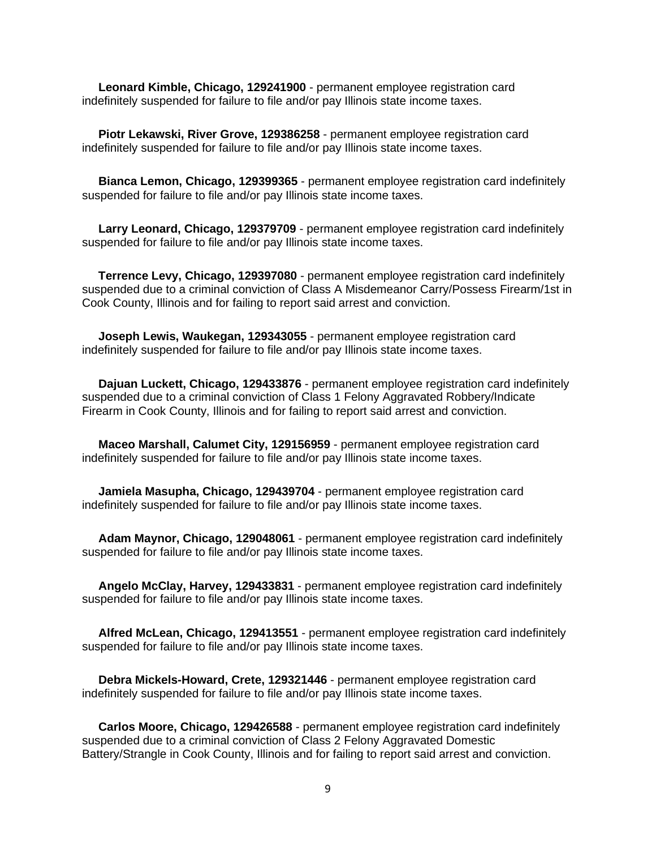**Leonard Kimble, Chicago, 129241900** - permanent employee registration card indefinitely suspended for failure to file and/or pay Illinois state income taxes.

 **Piotr Lekawski, River Grove, 129386258** - permanent employee registration card indefinitely suspended for failure to file and/or pay Illinois state income taxes.

 **Bianca Lemon, Chicago, 129399365** - permanent employee registration card indefinitely suspended for failure to file and/or pay Illinois state income taxes.

 **Larry Leonard, Chicago, 129379709** - permanent employee registration card indefinitely suspended for failure to file and/or pay Illinois state income taxes.

 **Terrence Levy, Chicago, 129397080** - permanent employee registration card indefinitely suspended due to a criminal conviction of Class A Misdemeanor Carry/Possess Firearm/1st in Cook County, Illinois and for failing to report said arrest and conviction.

 **Joseph Lewis, Waukegan, 129343055** - permanent employee registration card indefinitely suspended for failure to file and/or pay Illinois state income taxes.

 **Dajuan Luckett, Chicago, 129433876** - permanent employee registration card indefinitely suspended due to a criminal conviction of Class 1 Felony Aggravated Robbery/Indicate Firearm in Cook County, Illinois and for failing to report said arrest and conviction.

 **Maceo Marshall, Calumet City, 129156959** - permanent employee registration card indefinitely suspended for failure to file and/or pay Illinois state income taxes.

 **Jamiela Masupha, Chicago, 129439704** - permanent employee registration card indefinitely suspended for failure to file and/or pay Illinois state income taxes.

 **Adam Maynor, Chicago, 129048061** - permanent employee registration card indefinitely suspended for failure to file and/or pay Illinois state income taxes.

 **Angelo McClay, Harvey, 129433831** - permanent employee registration card indefinitely suspended for failure to file and/or pay Illinois state income taxes.

 **Alfred McLean, Chicago, 129413551** - permanent employee registration card indefinitely suspended for failure to file and/or pay Illinois state income taxes.

 **Debra Mickels-Howard, Crete, 129321446** - permanent employee registration card indefinitely suspended for failure to file and/or pay Illinois state income taxes.

 **Carlos Moore, Chicago, 129426588** - permanent employee registration card indefinitely suspended due to a criminal conviction of Class 2 Felony Aggravated Domestic Battery/Strangle in Cook County, Illinois and for failing to report said arrest and conviction.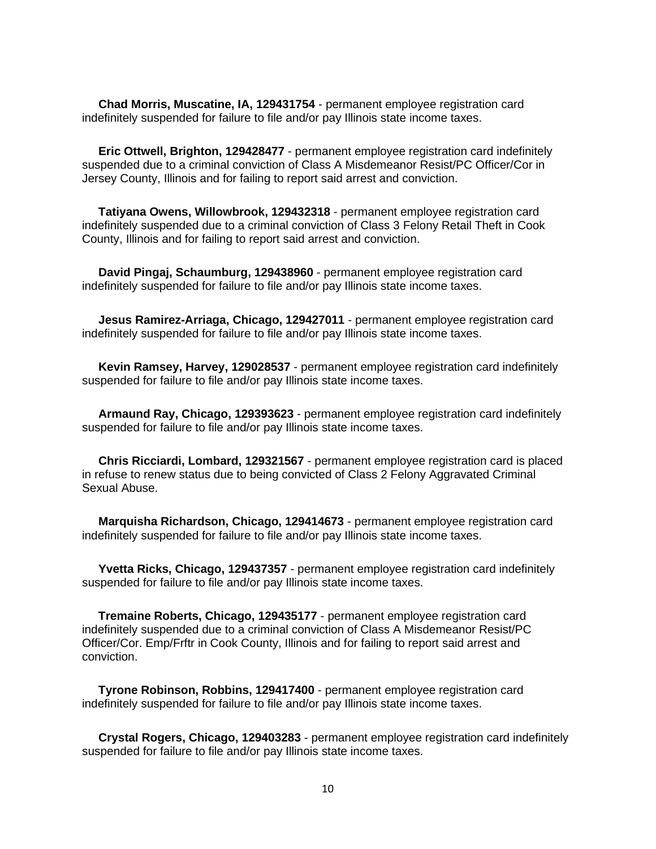**Chad Morris, Muscatine, IA, 129431754** - permanent employee registration card indefinitely suspended for failure to file and/or pay Illinois state income taxes.

 **Eric Ottwell, Brighton, 129428477** - permanent employee registration card indefinitely suspended due to a criminal conviction of Class A Misdemeanor Resist/PC Officer/Cor in Jersey County, Illinois and for failing to report said arrest and conviction.

 **Tatiyana Owens, Willowbrook, 129432318** - permanent employee registration card indefinitely suspended due to a criminal conviction of Class 3 Felony Retail Theft in Cook County, Illinois and for failing to report said arrest and conviction.

 **David Pingaj, Schaumburg, 129438960** - permanent employee registration card indefinitely suspended for failure to file and/or pay Illinois state income taxes.

 **Jesus Ramirez-Arriaga, Chicago, 129427011** - permanent employee registration card indefinitely suspended for failure to file and/or pay Illinois state income taxes.

 **Kevin Ramsey, Harvey, 129028537** - permanent employee registration card indefinitely suspended for failure to file and/or pay Illinois state income taxes.

 **Armaund Ray, Chicago, 129393623** - permanent employee registration card indefinitely suspended for failure to file and/or pay Illinois state income taxes.

 **Chris Ricciardi, Lombard, 129321567** - permanent employee registration card is placed in refuse to renew status due to being convicted of Class 2 Felony Aggravated Criminal Sexual Abuse.

 **Marquisha Richardson, Chicago, 129414673** - permanent employee registration card indefinitely suspended for failure to file and/or pay Illinois state income taxes.

 **Yvetta Ricks, Chicago, 129437357** - permanent employee registration card indefinitely suspended for failure to file and/or pay Illinois state income taxes.

 **Tremaine Roberts, Chicago, 129435177** - permanent employee registration card indefinitely suspended due to a criminal conviction of Class A Misdemeanor Resist/PC Officer/Cor. Emp/Frftr in Cook County, Illinois and for failing to report said arrest and conviction.

 **Tyrone Robinson, Robbins, 129417400** - permanent employee registration card indefinitely suspended for failure to file and/or pay Illinois state income taxes.

 **Crystal Rogers, Chicago, 129403283** - permanent employee registration card indefinitely suspended for failure to file and/or pay Illinois state income taxes.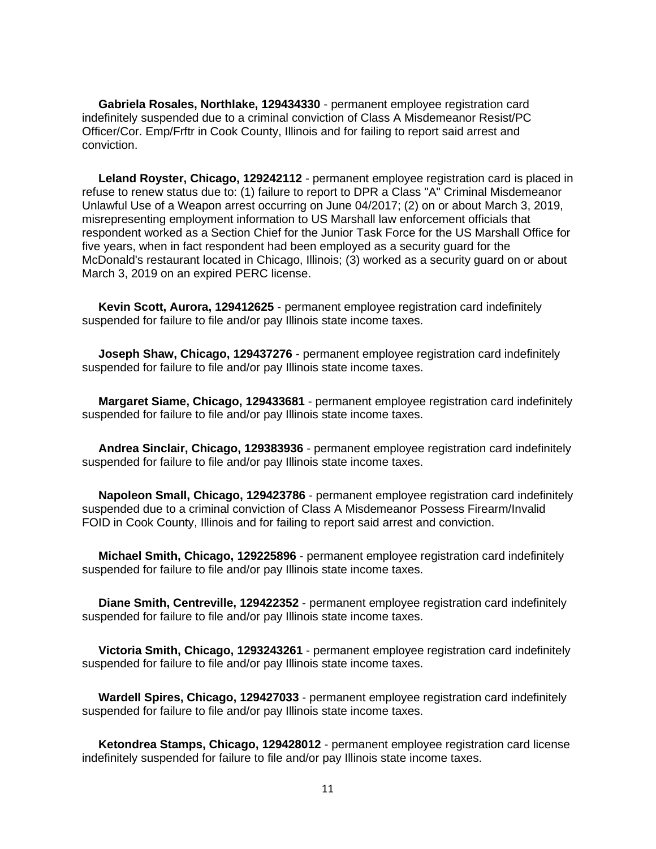**Gabriela Rosales, Northlake, 129434330** - permanent employee registration card indefinitely suspended due to a criminal conviction of Class A Misdemeanor Resist/PC Officer/Cor. Emp/Frftr in Cook County, Illinois and for failing to report said arrest and conviction.

 **Leland Royster, Chicago, 129242112** - permanent employee registration card is placed in refuse to renew status due to: (1) failure to report to DPR a Class "A" Criminal Misdemeanor Unlawful Use of a Weapon arrest occurring on June 04/2017; (2) on or about March 3, 2019, misrepresenting employment information to US Marshall law enforcement officials that respondent worked as a Section Chief for the Junior Task Force for the US Marshall Office for five years, when in fact respondent had been employed as a security guard for the McDonald's restaurant located in Chicago, Illinois; (3) worked as a security guard on or about March 3, 2019 on an expired PERC license.

 **Kevin Scott, Aurora, 129412625** - permanent employee registration card indefinitely suspended for failure to file and/or pay Illinois state income taxes.

 **Joseph Shaw, Chicago, 129437276** - permanent employee registration card indefinitely suspended for failure to file and/or pay Illinois state income taxes.

 **Margaret Siame, Chicago, 129433681** - permanent employee registration card indefinitely suspended for failure to file and/or pay Illinois state income taxes.

 **Andrea Sinclair, Chicago, 129383936** - permanent employee registration card indefinitely suspended for failure to file and/or pay Illinois state income taxes.

 **Napoleon Small, Chicago, 129423786** - permanent employee registration card indefinitely suspended due to a criminal conviction of Class A Misdemeanor Possess Firearm/Invalid FOID in Cook County, Illinois and for failing to report said arrest and conviction.

 **Michael Smith, Chicago, 129225896** - permanent employee registration card indefinitely suspended for failure to file and/or pay Illinois state income taxes.

 **Diane Smith, Centreville, 129422352** - permanent employee registration card indefinitely suspended for failure to file and/or pay Illinois state income taxes.

 **Victoria Smith, Chicago, 1293243261** - permanent employee registration card indefinitely suspended for failure to file and/or pay Illinois state income taxes.

 **Wardell Spires, Chicago, 129427033** - permanent employee registration card indefinitely suspended for failure to file and/or pay Illinois state income taxes.

 **Ketondrea Stamps, Chicago, 129428012** - permanent employee registration card license indefinitely suspended for failure to file and/or pay Illinois state income taxes.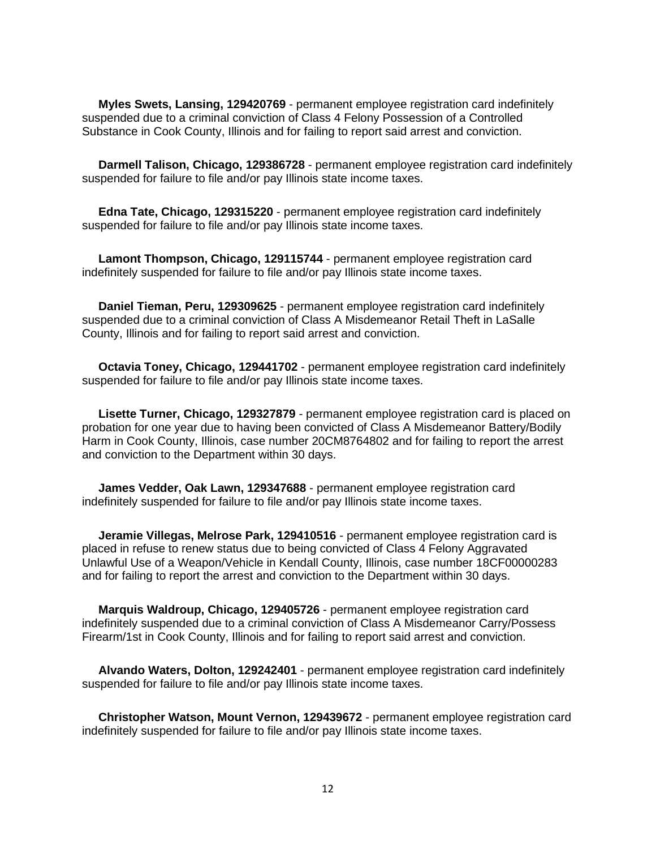**Myles Swets, Lansing, 129420769** - permanent employee registration card indefinitely suspended due to a criminal conviction of Class 4 Felony Possession of a Controlled Substance in Cook County, Illinois and for failing to report said arrest and conviction.

 **Darmell Talison, Chicago, 129386728** - permanent employee registration card indefinitely suspended for failure to file and/or pay Illinois state income taxes.

 **Edna Tate, Chicago, 129315220** - permanent employee registration card indefinitely suspended for failure to file and/or pay Illinois state income taxes.

 **Lamont Thompson, Chicago, 129115744** - permanent employee registration card indefinitely suspended for failure to file and/or pay Illinois state income taxes.

 **Daniel Tieman, Peru, 129309625** - permanent employee registration card indefinitely suspended due to a criminal conviction of Class A Misdemeanor Retail Theft in LaSalle County, Illinois and for failing to report said arrest and conviction.

 **Octavia Toney, Chicago, 129441702** - permanent employee registration card indefinitely suspended for failure to file and/or pay Illinois state income taxes.

 **Lisette Turner, Chicago, 129327879** - permanent employee registration card is placed on probation for one year due to having been convicted of Class A Misdemeanor Battery/Bodily Harm in Cook County, Illinois, case number 20CM8764802 and for failing to report the arrest and conviction to the Department within 30 days.

 **James Vedder, Oak Lawn, 129347688** - permanent employee registration card indefinitely suspended for failure to file and/or pay Illinois state income taxes.

 **Jeramie Villegas, Melrose Park, 129410516** - permanent employee registration card is placed in refuse to renew status due to being convicted of Class 4 Felony Aggravated Unlawful Use of a Weapon/Vehicle in Kendall County, Illinois, case number 18CF00000283 and for failing to report the arrest and conviction to the Department within 30 days.

 **Marquis Waldroup, Chicago, 129405726** - permanent employee registration card indefinitely suspended due to a criminal conviction of Class A Misdemeanor Carry/Possess Firearm/1st in Cook County, Illinois and for failing to report said arrest and conviction.

 **Alvando Waters, Dolton, 129242401** - permanent employee registration card indefinitely suspended for failure to file and/or pay Illinois state income taxes.

 **Christopher Watson, Mount Vernon, 129439672** - permanent employee registration card indefinitely suspended for failure to file and/or pay Illinois state income taxes.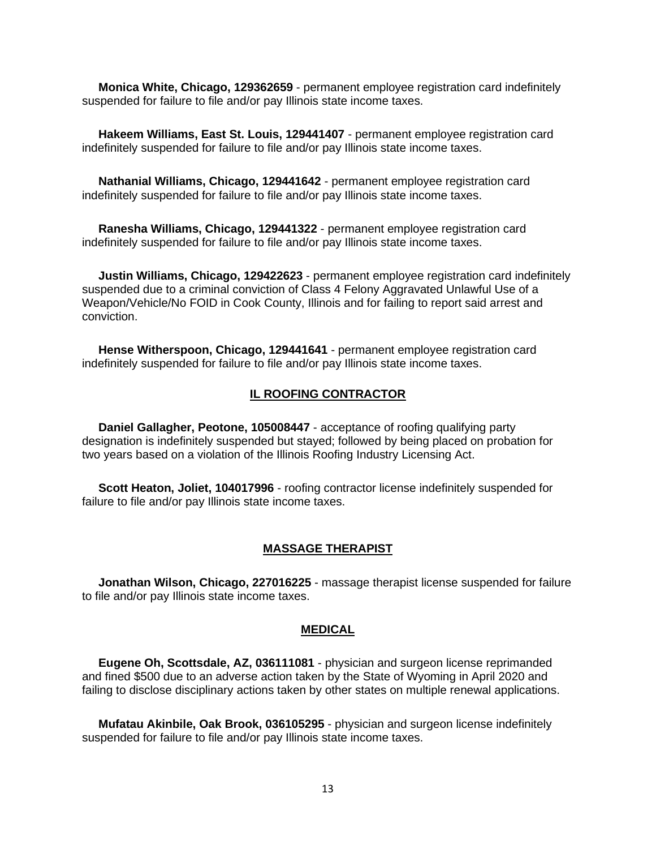**Monica White, Chicago, 129362659** - permanent employee registration card indefinitely suspended for failure to file and/or pay Illinois state income taxes.

 **Hakeem Williams, East St. Louis, 129441407** - permanent employee registration card indefinitely suspended for failure to file and/or pay Illinois state income taxes.

 **Nathanial Williams, Chicago, 129441642** - permanent employee registration card indefinitely suspended for failure to file and/or pay Illinois state income taxes.

 **Ranesha Williams, Chicago, 129441322** - permanent employee registration card indefinitely suspended for failure to file and/or pay Illinois state income taxes.

 **Justin Williams, Chicago, 129422623** - permanent employee registration card indefinitely suspended due to a criminal conviction of Class 4 Felony Aggravated Unlawful Use of a Weapon/Vehicle/No FOID in Cook County, Illinois and for failing to report said arrest and conviction.

 **Hense Witherspoon, Chicago, 129441641** - permanent employee registration card indefinitely suspended for failure to file and/or pay Illinois state income taxes.

#### **IL ROOFING CONTRACTOR**

 **Daniel Gallagher, Peotone, 105008447** - acceptance of roofing qualifying party designation is indefinitely suspended but stayed; followed by being placed on probation for two years based on a violation of the Illinois Roofing Industry Licensing Act.

 **Scott Heaton, Joliet, 104017996** - roofing contractor license indefinitely suspended for failure to file and/or pay Illinois state income taxes.

#### **MASSAGE THERAPIST**

 **Jonathan Wilson, Chicago, 227016225** - massage therapist license suspended for failure to file and/or pay Illinois state income taxes.

#### **MEDICAL**

 **Eugene Oh, Scottsdale, AZ, 036111081** - physician and surgeon license reprimanded and fined \$500 due to an adverse action taken by the State of Wyoming in April 2020 and failing to disclose disciplinary actions taken by other states on multiple renewal applications.

 **Mufatau Akinbile, Oak Brook, 036105295** - physician and surgeon license indefinitely suspended for failure to file and/or pay Illinois state income taxes.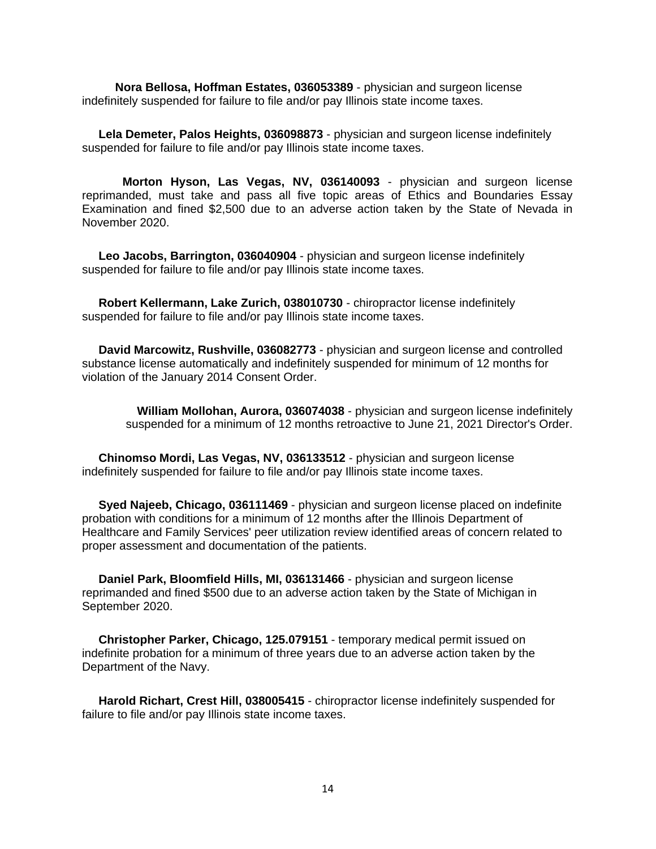**Nora Bellosa, Hoffman Estates, 036053389** - physician and surgeon license indefinitely suspended for failure to file and/or pay Illinois state income taxes.

 **Lela Demeter, Palos Heights, 036098873** - physician and surgeon license indefinitely suspended for failure to file and/or pay Illinois state income taxes.

 **Morton Hyson, Las Vegas, NV, 036140093** - physician and surgeon license reprimanded, must take and pass all five topic areas of Ethics and Boundaries Essay Examination and fined \$2,500 due to an adverse action taken by the State of Nevada in November 2020.

 **Leo Jacobs, Barrington, 036040904** - physician and surgeon license indefinitely suspended for failure to file and/or pay Illinois state income taxes.

 **Robert Kellermann, Lake Zurich, 038010730** - chiropractor license indefinitely suspended for failure to file and/or pay Illinois state income taxes.

 **David Marcowitz, Rushville, 036082773** - physician and surgeon license and controlled substance license automatically and indefinitely suspended for minimum of 12 months for violation of the January 2014 Consent Order.

 **William Mollohan, Aurora, 036074038** - physician and surgeon license indefinitely suspended for a minimum of 12 months retroactive to June 21, 2021 Director's Order.

 **Chinomso Mordi, Las Vegas, NV, 036133512** - physician and surgeon license indefinitely suspended for failure to file and/or pay Illinois state income taxes.

 **Syed Najeeb, Chicago, 036111469** - physician and surgeon license placed on indefinite probation with conditions for a minimum of 12 months after the Illinois Department of Healthcare and Family Services' peer utilization review identified areas of concern related to proper assessment and documentation of the patients.

 **Daniel Park, Bloomfield Hills, MI, 036131466** - physician and surgeon license reprimanded and fined \$500 due to an adverse action taken by the State of Michigan in September 2020.

 **Christopher Parker, Chicago, 125.079151** - temporary medical permit issued on indefinite probation for a minimum of three years due to an adverse action taken by the Department of the Navy.

 **Harold Richart, Crest Hill, 038005415** - chiropractor license indefinitely suspended for failure to file and/or pay Illinois state income taxes.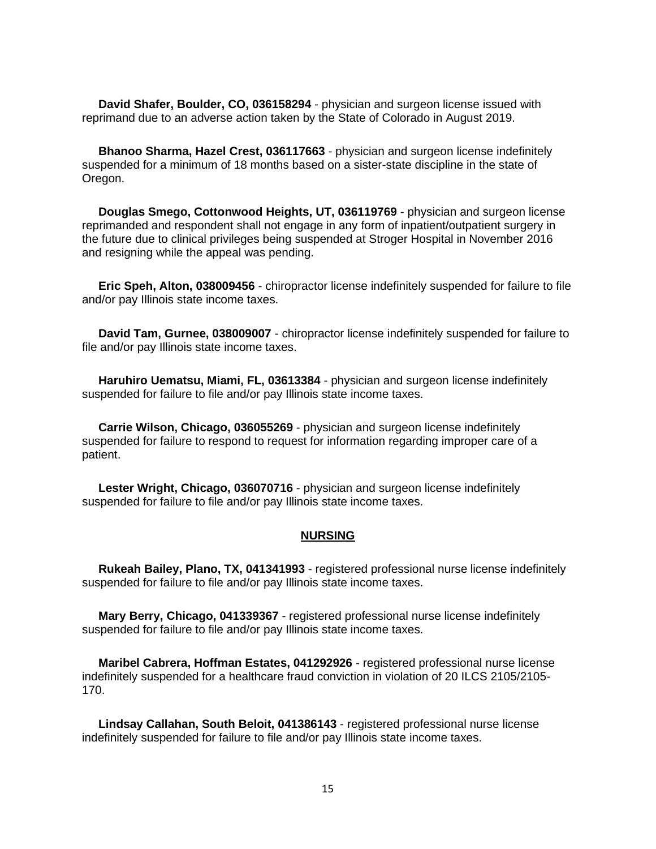**David Shafer, Boulder, CO, 036158294** - physician and surgeon license issued with reprimand due to an adverse action taken by the State of Colorado in August 2019.

 **Bhanoo Sharma, Hazel Crest, 036117663** - physician and surgeon license indefinitely suspended for a minimum of 18 months based on a sister-state discipline in the state of Oregon.

 **Douglas Smego, Cottonwood Heights, UT, 036119769** - physician and surgeon license reprimanded and respondent shall not engage in any form of inpatient/outpatient surgery in the future due to clinical privileges being suspended at Stroger Hospital in November 2016 and resigning while the appeal was pending.

 **Eric Speh, Alton, 038009456** - chiropractor license indefinitely suspended for failure to file and/or pay Illinois state income taxes.

 **David Tam, Gurnee, 038009007** - chiropractor license indefinitely suspended for failure to file and/or pay Illinois state income taxes.

 **Haruhiro Uematsu, Miami, FL, 03613384** - physician and surgeon license indefinitely suspended for failure to file and/or pay Illinois state income taxes.

 **Carrie Wilson, Chicago, 036055269** - physician and surgeon license indefinitely suspended for failure to respond to request for information regarding improper care of a patient.

 **Lester Wright, Chicago, 036070716** - physician and surgeon license indefinitely suspended for failure to file and/or pay Illinois state income taxes.

#### **NURSING**

 **Rukeah Bailey, Plano, TX, 041341993** - registered professional nurse license indefinitely suspended for failure to file and/or pay Illinois state income taxes.

 **Mary Berry, Chicago, 041339367** - registered professional nurse license indefinitely suspended for failure to file and/or pay Illinois state income taxes.

 **Maribel Cabrera, Hoffman Estates, 041292926** - registered professional nurse license indefinitely suspended for a healthcare fraud conviction in violation of 20 ILCS 2105/2105- 170.

 **Lindsay Callahan, South Beloit, 041386143** - registered professional nurse license indefinitely suspended for failure to file and/or pay Illinois state income taxes.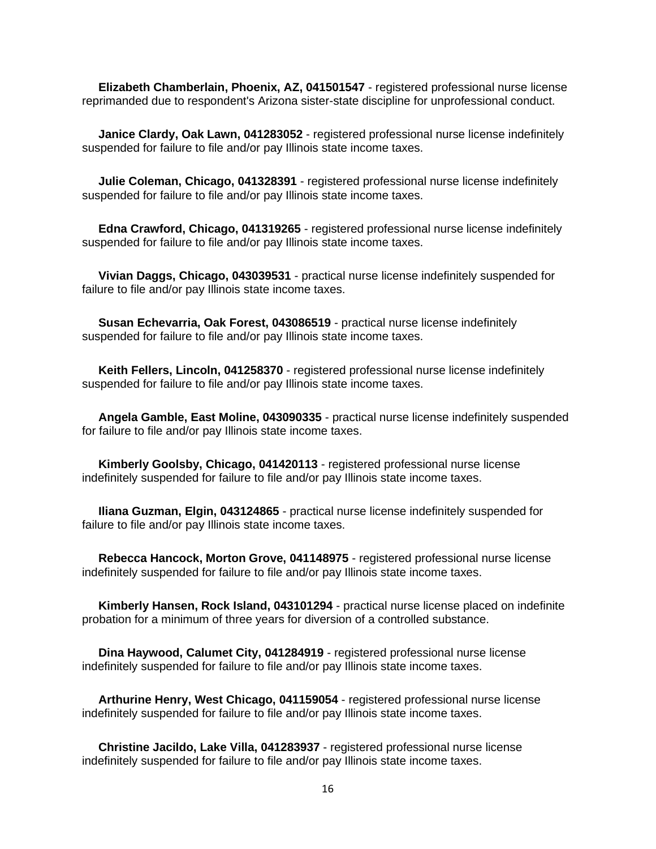**Elizabeth Chamberlain, Phoenix, AZ, 041501547** - registered professional nurse license reprimanded due to respondent's Arizona sister-state discipline for unprofessional conduct.

 **Janice Clardy, Oak Lawn, 041283052** - registered professional nurse license indefinitely suspended for failure to file and/or pay Illinois state income taxes.

 **Julie Coleman, Chicago, 041328391** - registered professional nurse license indefinitely suspended for failure to file and/or pay Illinois state income taxes.

 **Edna Crawford, Chicago, 041319265** - registered professional nurse license indefinitely suspended for failure to file and/or pay Illinois state income taxes.

 **Vivian Daggs, Chicago, 043039531** - practical nurse license indefinitely suspended for failure to file and/or pay Illinois state income taxes.

 **Susan Echevarria, Oak Forest, 043086519** - practical nurse license indefinitely suspended for failure to file and/or pay Illinois state income taxes.

 **Keith Fellers, Lincoln, 041258370** - registered professional nurse license indefinitely suspended for failure to file and/or pay Illinois state income taxes.

 **Angela Gamble, East Moline, 043090335** - practical nurse license indefinitely suspended for failure to file and/or pay Illinois state income taxes.

 **Kimberly Goolsby, Chicago, 041420113** - registered professional nurse license indefinitely suspended for failure to file and/or pay Illinois state income taxes.

 **Iliana Guzman, Elgin, 043124865** - practical nurse license indefinitely suspended for failure to file and/or pay Illinois state income taxes.

 **Rebecca Hancock, Morton Grove, 041148975** - registered professional nurse license indefinitely suspended for failure to file and/or pay Illinois state income taxes.

 **Kimberly Hansen, Rock Island, 043101294** - practical nurse license placed on indefinite probation for a minimum of three years for diversion of a controlled substance.

 **Dina Haywood, Calumet City, 041284919** - registered professional nurse license indefinitely suspended for failure to file and/or pay Illinois state income taxes.

 **Arthurine Henry, West Chicago, 041159054** - registered professional nurse license indefinitely suspended for failure to file and/or pay Illinois state income taxes.

 **Christine Jacildo, Lake Villa, 041283937** - registered professional nurse license indefinitely suspended for failure to file and/or pay Illinois state income taxes.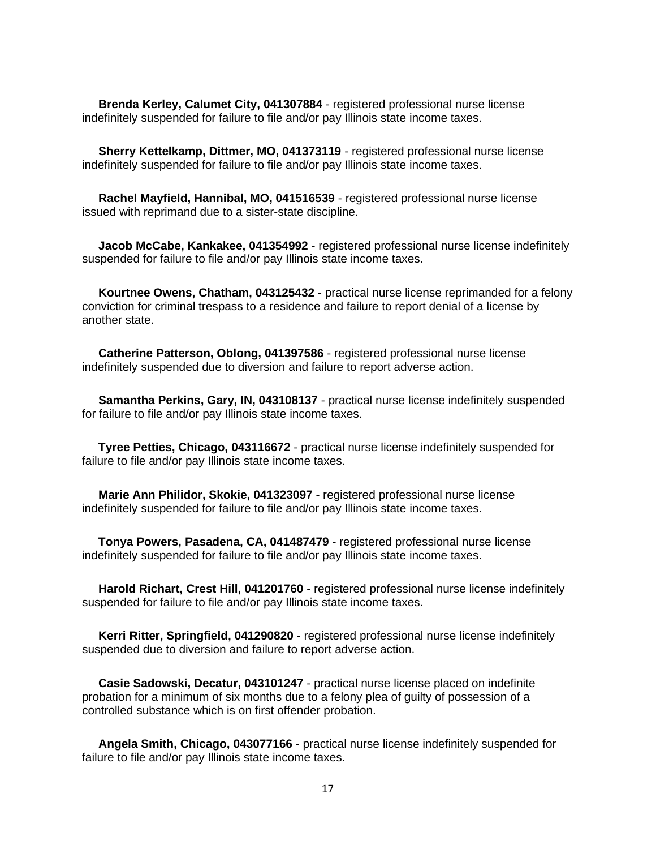**Brenda Kerley, Calumet City, 041307884** - registered professional nurse license indefinitely suspended for failure to file and/or pay Illinois state income taxes.

 **Sherry Kettelkamp, Dittmer, MO, 041373119** - registered professional nurse license indefinitely suspended for failure to file and/or pay Illinois state income taxes.

 **Rachel Mayfield, Hannibal, MO, 041516539** - registered professional nurse license issued with reprimand due to a sister-state discipline.

 **Jacob McCabe, Kankakee, 041354992** - registered professional nurse license indefinitely suspended for failure to file and/or pay Illinois state income taxes.

 **Kourtnee Owens, Chatham, 043125432** - practical nurse license reprimanded for a felony conviction for criminal trespass to a residence and failure to report denial of a license by another state.

 **Catherine Patterson, Oblong, 041397586** - registered professional nurse license indefinitely suspended due to diversion and failure to report adverse action.

 **Samantha Perkins, Gary, IN, 043108137** - practical nurse license indefinitely suspended for failure to file and/or pay Illinois state income taxes.

 **Tyree Petties, Chicago, 043116672** - practical nurse license indefinitely suspended for failure to file and/or pay Illinois state income taxes.

 **Marie Ann Philidor, Skokie, 041323097** - registered professional nurse license indefinitely suspended for failure to file and/or pay Illinois state income taxes.

 **Tonya Powers, Pasadena, CA, 041487479** - registered professional nurse license indefinitely suspended for failure to file and/or pay Illinois state income taxes.

 **Harold Richart, Crest Hill, 041201760** - registered professional nurse license indefinitely suspended for failure to file and/or pay Illinois state income taxes.

 **Kerri Ritter, Springfield, 041290820** - registered professional nurse license indefinitely suspended due to diversion and failure to report adverse action.

 **Casie Sadowski, Decatur, 043101247** - practical nurse license placed on indefinite probation for a minimum of six months due to a felony plea of guilty of possession of a controlled substance which is on first offender probation.

 **Angela Smith, Chicago, 043077166** - practical nurse license indefinitely suspended for failure to file and/or pay Illinois state income taxes.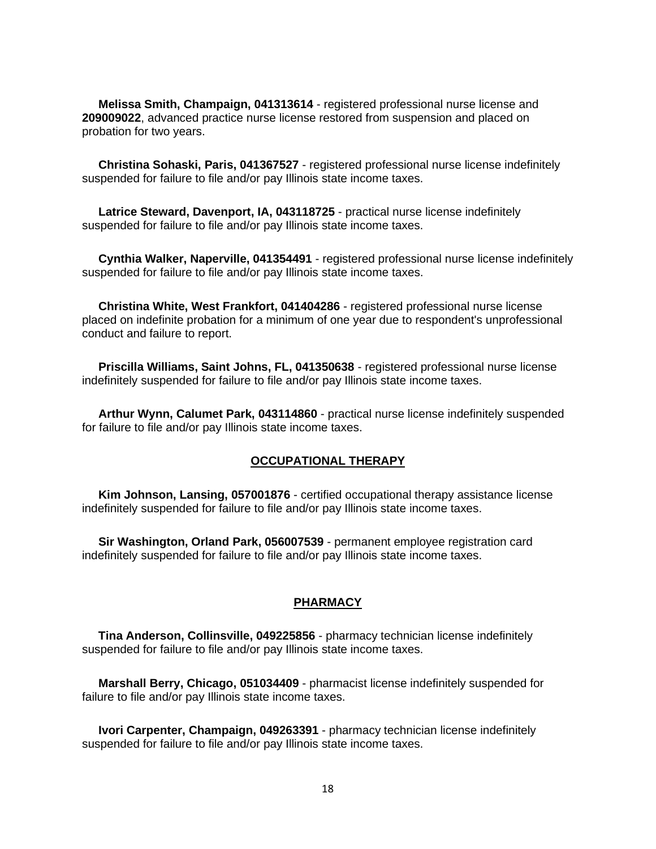**Melissa Smith, Champaign, 041313614** - registered professional nurse license and **209009022**, advanced practice nurse license restored from suspension and placed on probation for two years.

 **Christina Sohaski, Paris, 041367527** - registered professional nurse license indefinitely suspended for failure to file and/or pay Illinois state income taxes.

 **Latrice Steward, Davenport, IA, 043118725** - practical nurse license indefinitely suspended for failure to file and/or pay Illinois state income taxes.

 **Cynthia Walker, Naperville, 041354491** - registered professional nurse license indefinitely suspended for failure to file and/or pay Illinois state income taxes.

 **Christina White, West Frankfort, 041404286** - registered professional nurse license placed on indefinite probation for a minimum of one year due to respondent's unprofessional conduct and failure to report.

 **Priscilla Williams, Saint Johns, FL, 041350638** - registered professional nurse license indefinitely suspended for failure to file and/or pay Illinois state income taxes.

 **Arthur Wynn, Calumet Park, 043114860** - practical nurse license indefinitely suspended for failure to file and/or pay Illinois state income taxes.

#### **OCCUPATIONAL THERAPY**

 **Kim Johnson, Lansing, 057001876** - certified occupational therapy assistance license indefinitely suspended for failure to file and/or pay Illinois state income taxes.

 **Sir Washington, Orland Park, 056007539** - permanent employee registration card indefinitely suspended for failure to file and/or pay Illinois state income taxes.

#### **PHARMACY**

 **Tina Anderson, Collinsville, 049225856** - pharmacy technician license indefinitely suspended for failure to file and/or pay Illinois state income taxes.

 **Marshall Berry, Chicago, 051034409** - pharmacist license indefinitely suspended for failure to file and/or pay Illinois state income taxes.

 **Ivori Carpenter, Champaign, 049263391** - pharmacy technician license indefinitely suspended for failure to file and/or pay Illinois state income taxes.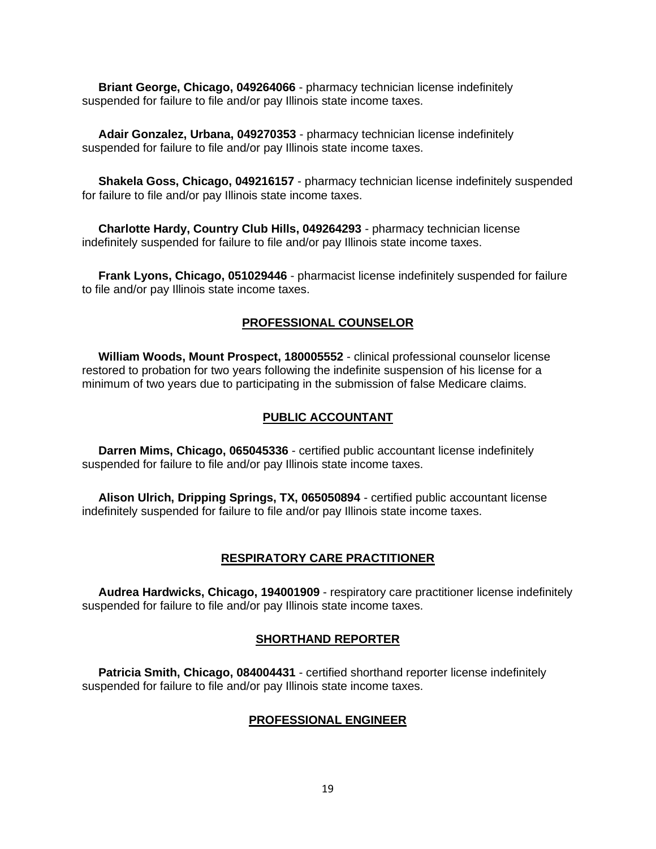**Briant George, Chicago, 049264066** - pharmacy technician license indefinitely suspended for failure to file and/or pay Illinois state income taxes.

 **Adair Gonzalez, Urbana, 049270353** - pharmacy technician license indefinitely suspended for failure to file and/or pay Illinois state income taxes.

 **Shakela Goss, Chicago, 049216157** - pharmacy technician license indefinitely suspended for failure to file and/or pay Illinois state income taxes.

 **Charlotte Hardy, Country Club Hills, 049264293** - pharmacy technician license indefinitely suspended for failure to file and/or pay Illinois state income taxes.

 **Frank Lyons, Chicago, 051029446** - pharmacist license indefinitely suspended for failure to file and/or pay Illinois state income taxes.

### **PROFESSIONAL COUNSELOR**

 **William Woods, Mount Prospect, 180005552** - clinical professional counselor license restored to probation for two years following the indefinite suspension of his license for a minimum of two years due to participating in the submission of false Medicare claims.

#### **PUBLIC ACCOUNTANT**

 **Darren Mims, Chicago, 065045336** - certified public accountant license indefinitely suspended for failure to file and/or pay Illinois state income taxes.

 **Alison Ulrich, Dripping Springs, TX, 065050894** - certified public accountant license indefinitely suspended for failure to file and/or pay Illinois state income taxes.

#### **RESPIRATORY CARE PRACTITIONER**

 **Audrea Hardwicks, Chicago, 194001909** - respiratory care practitioner license indefinitely suspended for failure to file and/or pay Illinois state income taxes.

## **SHORTHAND REPORTER**

 **Patricia Smith, Chicago, 084004431** - certified shorthand reporter license indefinitely suspended for failure to file and/or pay Illinois state income taxes.

#### **PROFESSIONAL ENGINEER**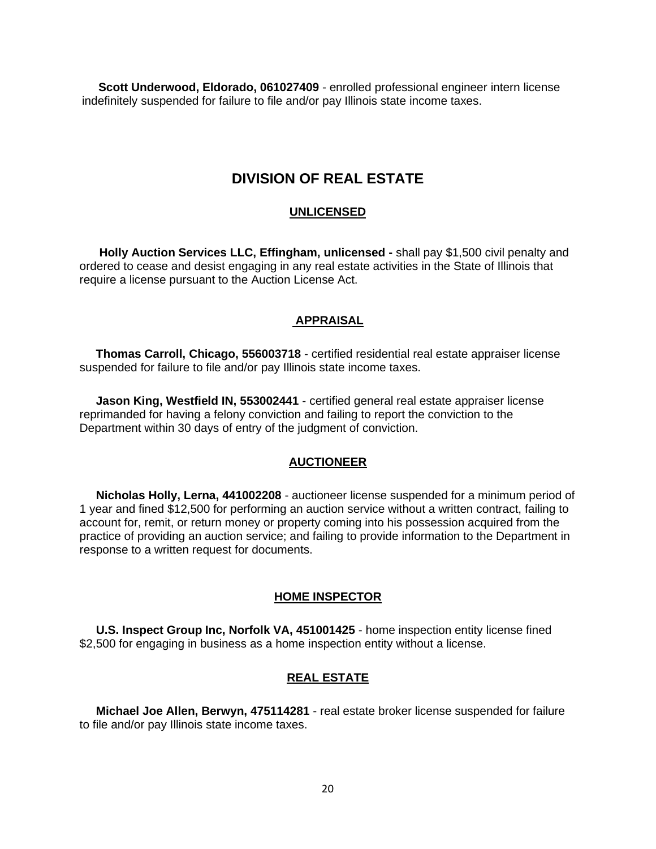**Scott Underwood, Eldorado, 061027409** - enrolled professional engineer intern license indefinitely suspended for failure to file and/or pay Illinois state income taxes.

## **DIVISION OF REAL ESTATE**

### **UNLICENSED**

 **Holly Auction Services LLC, Effingham, unlicensed -** shall pay \$1,500 civil penalty and ordered to cease and desist engaging in any real estate activities in the State of Illinois that require a license pursuant to the Auction License Act.

## **APPRAISAL**

 **Thomas Carroll, Chicago, 556003718** - certified residential real estate appraiser license suspended for failure to file and/or pay Illinois state income taxes.

 **Jason King, Westfield IN, 553002441** - certified general real estate appraiser license reprimanded for having a felony conviction and failing to report the conviction to the Department within 30 days of entry of the judgment of conviction.

### **AUCTIONEER**

 **Nicholas Holly, Lerna, 441002208** - auctioneer license suspended for a minimum period of 1 year and fined \$12,500 for performing an auction service without a written contract, failing to account for, remit, or return money or property coming into his possession acquired from the practice of providing an auction service; and failing to provide information to the Department in response to a written request for documents.

## **HOME INSPECTOR**

 **U.S. Inspect Group Inc, Norfolk VA, 451001425** - home inspection entity license fined \$2,500 for engaging in business as a home inspection entity without a license.

## **REAL ESTATE**

 **Michael Joe Allen, Berwyn, 475114281** - real estate broker license suspended for failure to file and/or pay Illinois state income taxes.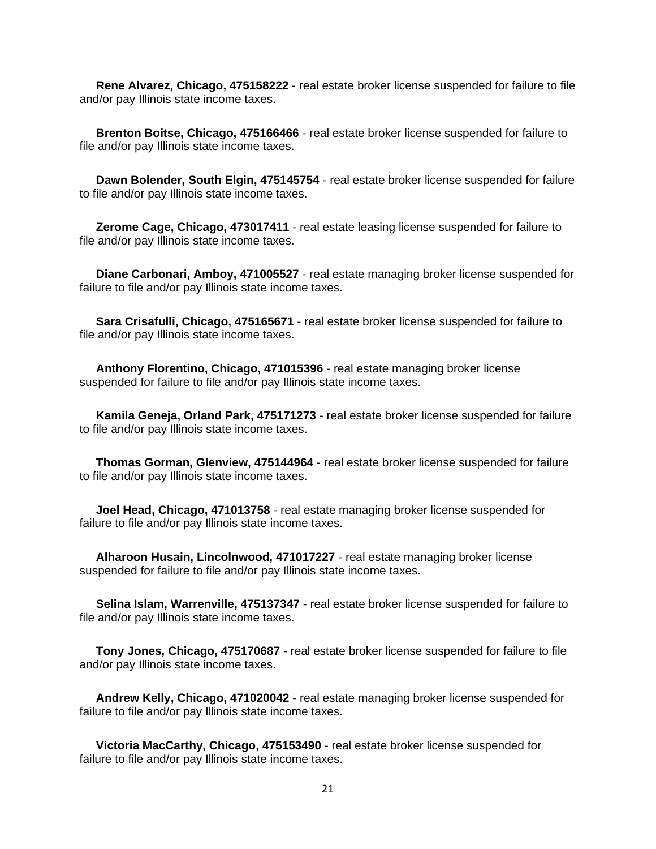**Rene Alvarez, Chicago, 475158222** - real estate broker license suspended for failure to file and/or pay Illinois state income taxes.

 **Brenton Boitse, Chicago, 475166466** - real estate broker license suspended for failure to file and/or pay Illinois state income taxes.

 **Dawn Bolender, South Elgin, 475145754** - real estate broker license suspended for failure to file and/or pay Illinois state income taxes.

 **Zerome Cage, Chicago, 473017411** - real estate leasing license suspended for failure to file and/or pay Illinois state income taxes.

 **Diane Carbonari, Amboy, 471005527** - real estate managing broker license suspended for failure to file and/or pay Illinois state income taxes.

 **Sara Crisafulli, Chicago, 475165671** - real estate broker license suspended for failure to file and/or pay Illinois state income taxes.

 **Anthony Florentino, Chicago, 471015396** - real estate managing broker license suspended for failure to file and/or pay Illinois state income taxes.

 **Kamila Geneja, Orland Park, 475171273** - real estate broker license suspended for failure to file and/or pay Illinois state income taxes.

 **Thomas Gorman, Glenview, 475144964** - real estate broker license suspended for failure to file and/or pay Illinois state income taxes.

 **Joel Head, Chicago, 471013758** - real estate managing broker license suspended for failure to file and/or pay Illinois state income taxes.

 **Alharoon Husain, Lincolnwood, 471017227** - real estate managing broker license suspended for failure to file and/or pay Illinois state income taxes.

 **Selina Islam, Warrenville, 475137347** - real estate broker license suspended for failure to file and/or pay Illinois state income taxes.

 **Tony Jones, Chicago, 475170687** - real estate broker license suspended for failure to file and/or pay Illinois state income taxes.

 **Andrew Kelly, Chicago, 471020042** - real estate managing broker license suspended for failure to file and/or pay Illinois state income taxes.

 **Victoria MacCarthy, Chicago, 475153490** - real estate broker license suspended for failure to file and/or pay Illinois state income taxes.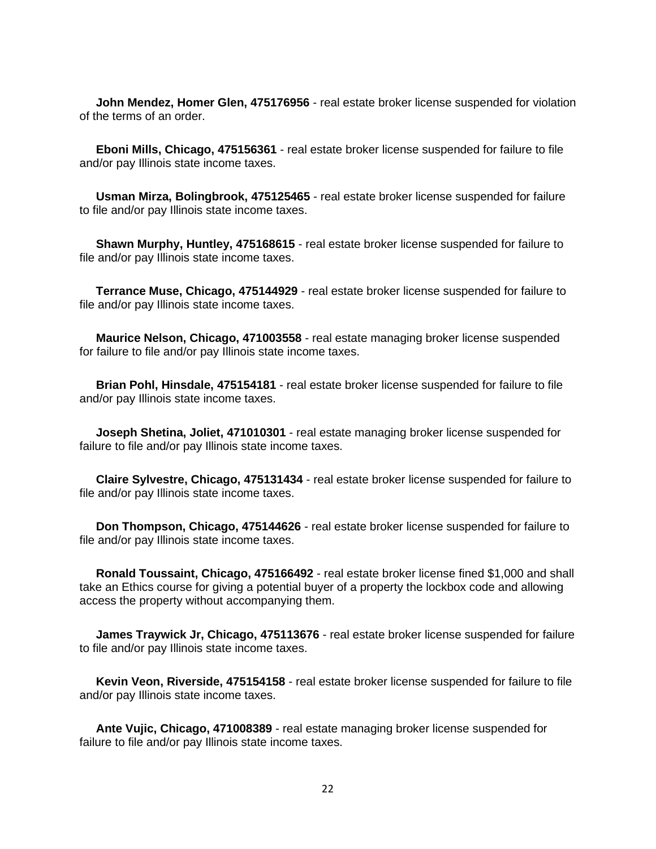**John Mendez, Homer Glen, 475176956** - real estate broker license suspended for violation of the terms of an order.

 **Eboni Mills, Chicago, 475156361** - real estate broker license suspended for failure to file and/or pay Illinois state income taxes.

 **Usman Mirza, Bolingbrook, 475125465** - real estate broker license suspended for failure to file and/or pay Illinois state income taxes.

 **Shawn Murphy, Huntley, 475168615** - real estate broker license suspended for failure to file and/or pay Illinois state income taxes.

 **Terrance Muse, Chicago, 475144929** - real estate broker license suspended for failure to file and/or pay Illinois state income taxes.

 **Maurice Nelson, Chicago, 471003558** - real estate managing broker license suspended for failure to file and/or pay Illinois state income taxes.

 **Brian Pohl, Hinsdale, 475154181** - real estate broker license suspended for failure to file and/or pay Illinois state income taxes.

 **Joseph Shetina, Joliet, 471010301** - real estate managing broker license suspended for failure to file and/or pay Illinois state income taxes.

 **Claire Sylvestre, Chicago, 475131434** - real estate broker license suspended for failure to file and/or pay Illinois state income taxes.

 **Don Thompson, Chicago, 475144626** - real estate broker license suspended for failure to file and/or pay Illinois state income taxes.

 **Ronald Toussaint, Chicago, 475166492** - real estate broker license fined \$1,000 and shall take an Ethics course for giving a potential buyer of a property the lockbox code and allowing access the property without accompanying them.

 **James Traywick Jr, Chicago, 475113676** - real estate broker license suspended for failure to file and/or pay Illinois state income taxes.

 **Kevin Veon, Riverside, 475154158** - real estate broker license suspended for failure to file and/or pay Illinois state income taxes.

 **Ante Vujic, Chicago, 471008389** - real estate managing broker license suspended for failure to file and/or pay Illinois state income taxes.